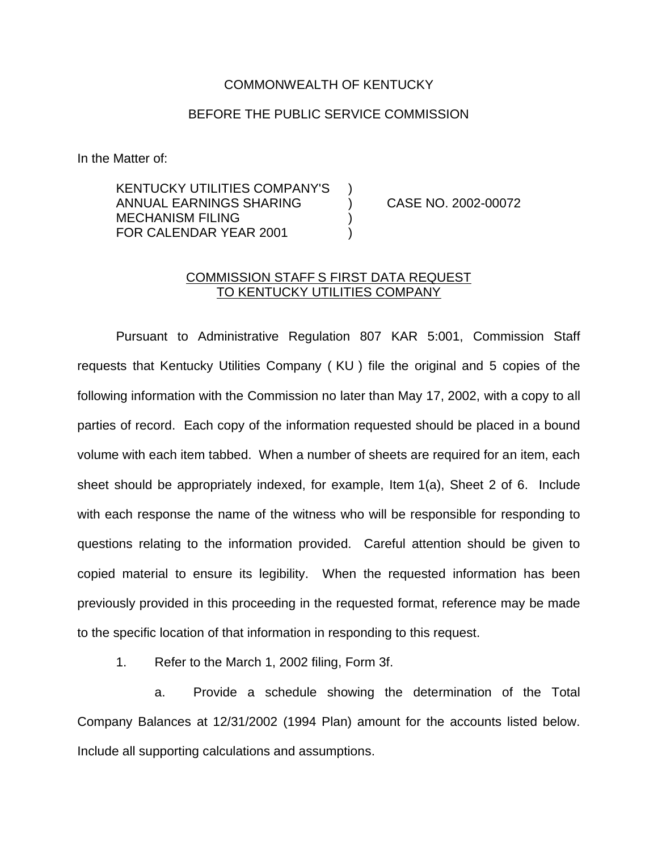## COMMONWEALTH OF KENTUCKY

## BEFORE THE PUBLIC SERVICE COMMISSION

In the Matter of:

KENTUCKY UTILITIES COMPANY'S ) ANNUAL EARNINGS SHARING ) CASE NO. 2002-00072 MECHANISM FILING ) FOR CALENDAR YEAR 2001

## COMMISSION STAFF S FIRST DATA REQUEST TO KENTUCKY UTILITIES COMPANY

Pursuant to Administrative Regulation 807 KAR 5:001, Commission Staff requests that Kentucky Utilities Company ( KU ) file the original and 5 copies of the following information with the Commission no later than May 17, 2002, with a copy to all parties of record. Each copy of the information requested should be placed in a bound volume with each item tabbed. When a number of sheets are required for an item, each sheet should be appropriately indexed, for example, Item 1(a), Sheet 2 of 6. Include with each response the name of the witness who will be responsible for responding to questions relating to the information provided. Careful attention should be given to copied material to ensure its legibility. When the requested information has been previously provided in this proceeding in the requested format, reference may be made to the specific location of that information in responding to this request.

1. Refer to the March 1, 2002 filing, Form 3f.

a. Provide a schedule showing the determination of the Total Company Balances at 12/31/2002 (1994 Plan) amount for the accounts listed below. Include all supporting calculations and assumptions.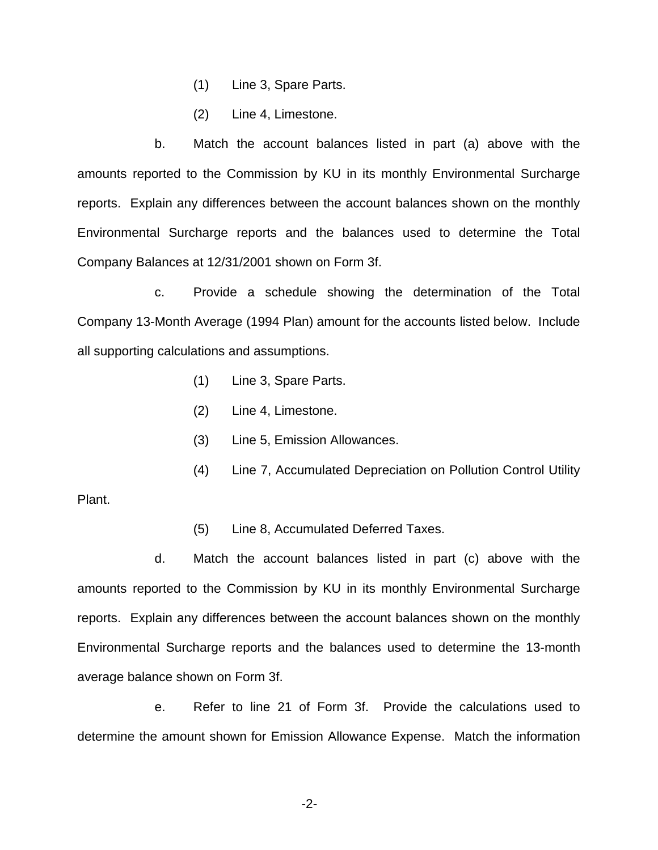- (1) Line 3, Spare Parts.
- (2) Line 4, Limestone.

b. Match the account balances listed in part (a) above with the amounts reported to the Commission by KU in its monthly Environmental Surcharge reports. Explain any differences between the account balances shown on the monthly Environmental Surcharge reports and the balances used to determine the Total Company Balances at 12/31/2001 shown on Form 3f.

c. Provide a schedule showing the determination of the Total Company 13-Month Average (1994 Plan) amount for the accounts listed below. Include all supporting calculations and assumptions.

- (1) Line 3, Spare Parts.
- (2) Line 4, Limestone.
- (3) Line 5, Emission Allowances.
- (4) Line 7, Accumulated Depreciation on Pollution Control Utility

Plant.

(5) Line 8, Accumulated Deferred Taxes.

d. Match the account balances listed in part (c) above with the amounts reported to the Commission by KU in its monthly Environmental Surcharge reports. Explain any differences between the account balances shown on the monthly Environmental Surcharge reports and the balances used to determine the 13-month average balance shown on Form 3f.

e. Refer to line 21 of Form 3f. Provide the calculations used to determine the amount shown for Emission Allowance Expense. Match the information

-2-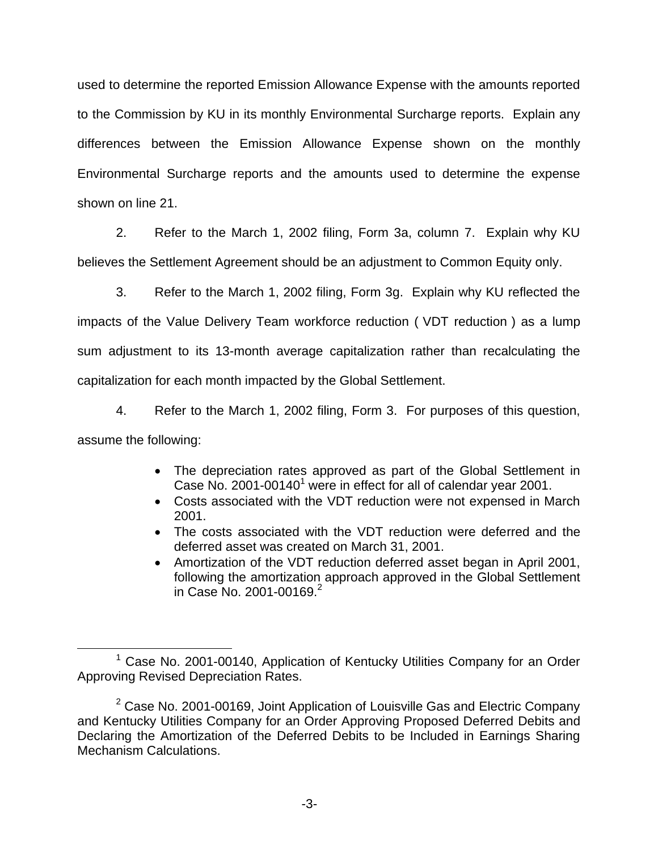used to determine the reported Emission Allowance Expense with the amounts reported to the Commission by KU in its monthly Environmental Surcharge reports. Explain any differences between the Emission Allowance Expense shown on the monthly Environmental Surcharge reports and the amounts used to determine the expense shown on line 21.

2. Refer to the March 1, 2002 filing, Form 3a, column 7. Explain why KU believes the Settlement Agreement should be an adjustment to Common Equity only.

3. Refer to the March 1, 2002 filing, Form 3g. Explain why KU reflected the impacts of the Value Delivery Team workforce reduction ( VDT reduction ) as a lump sum adjustment to its 13-month average capitalization rather than recalculating the capitalization for each month impacted by the Global Settlement.

4. Refer to the March 1, 2002 filing, Form 3. For purposes of this question, assume the following:

- The depreciation rates approved as part of the Global Settlement in Case No. 2001-00140<sup>1</sup> were in effect for all of calendar year 2001.
- Costs associated with the VDT reduction were not expensed in March 2001.
- The costs associated with the VDT reduction were deferred and the deferred asset was created on March 31, 2001.
- Amortization of the VDT reduction deferred asset began in April 2001, following the amortization approach approved in the Global Settlement in Case No. 2001-00169. $^{2}$

<sup>1</sup> Case No. 2001-00140, Application of Kentucky Utilities Company for an Order Approving Revised Depreciation Rates.

 $2$  Case No. 2001-00169, Joint Application of Louisville Gas and Electric Company and Kentucky Utilities Company for an Order Approving Proposed Deferred Debits and Declaring the Amortization of the Deferred Debits to be Included in Earnings Sharing Mechanism Calculations.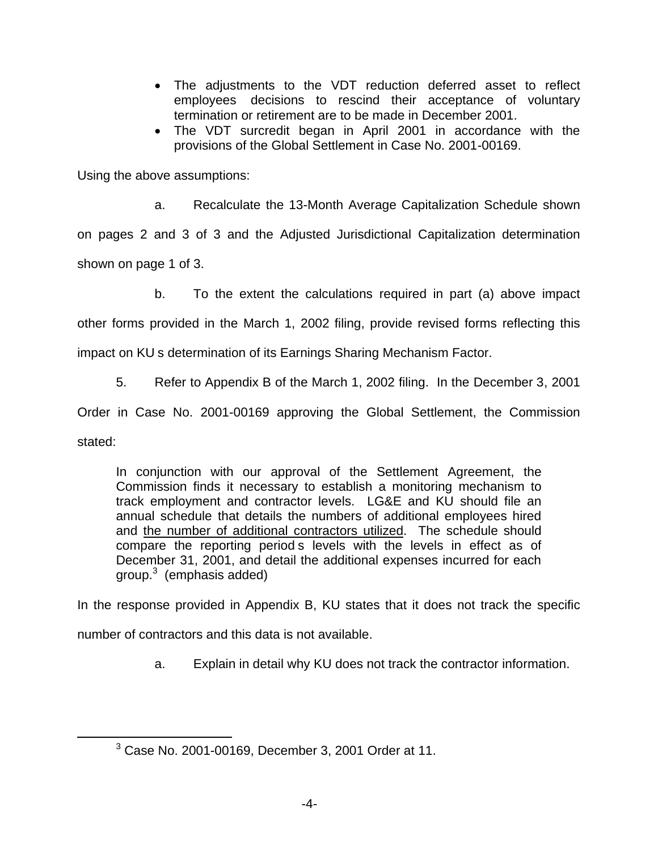- The adjustments to the VDT reduction deferred asset to reflect employees decisions to rescind their acceptance of voluntary termination or retirement are to be made in December 2001.
- ∑ The VDT surcredit began in April 2001 in accordance with the provisions of the Global Settlement in Case No. 2001-00169.

Using the above assumptions:

a. Recalculate the 13-Month Average Capitalization Schedule shown

on pages 2 and 3 of 3 and the Adjusted Jurisdictional Capitalization determination shown on page 1 of 3.

b. To the extent the calculations required in part (a) above impact

other forms provided in the March 1, 2002 filing, provide revised forms reflecting this

impact on KU s determination of its Earnings Sharing Mechanism Factor.

5. Refer to Appendix B of the March 1, 2002 filing. In the December 3, 2001

Order in Case No. 2001-00169 approving the Global Settlement, the Commission

stated:

In conjunction with our approval of the Settlement Agreement, the Commission finds it necessary to establish a monitoring mechanism to track employment and contractor levels. LG&E and KU should file an annual schedule that details the numbers of additional employees hired and the number of additional contractors utilized. The schedule should compare the reporting period s levels with the levels in effect as of December 31, 2001, and detail the additional expenses incurred for each  $q$ roup. $3 \pmod{3}$ 

In the response provided in Appendix B, KU states that it does not track the specific

number of contractors and this data is not available.

a. Explain in detail why KU does not track the contractor information.

 $3$  Case No. 2001-00169, December 3, 2001 Order at 11.